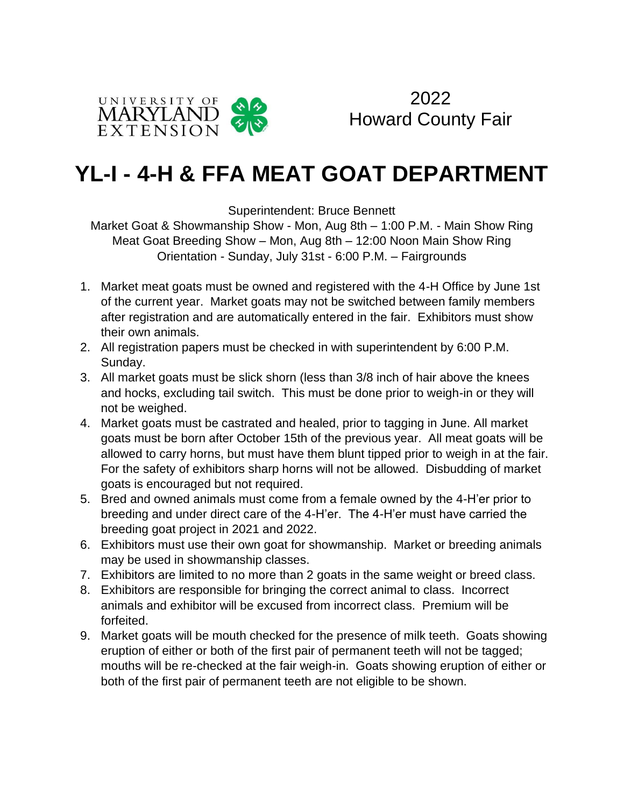

2022 Howard County Fair

# **YL-I - 4-H & FFA MEAT GOAT DEPARTMENT**

Superintendent: Bruce Bennett

Market Goat & Showmanship Show - Mon, Aug 8th – 1:00 P.M. - Main Show Ring Meat Goat Breeding Show – Mon, Aug 8th – 12:00 Noon Main Show Ring Orientation - Sunday, July 31st - 6:00 P.M. – Fairgrounds

- 1. Market meat goats must be owned and registered with the 4-H Office by June 1st of the current year. Market goats may not be switched between family members after registration and are automatically entered in the fair. Exhibitors must show their own animals.
- 2. All registration papers must be checked in with superintendent by 6:00 P.M. Sunday.
- 3. All market goats must be slick shorn (less than 3/8 inch of hair above the knees and hocks, excluding tail switch. This must be done prior to weigh-in or they will not be weighed.
- 4. Market goats must be castrated and healed, prior to tagging in June. All market goats must be born after October 15th of the previous year. All meat goats will be allowed to carry horns, but must have them blunt tipped prior to weigh in at the fair. For the safety of exhibitors sharp horns will not be allowed. Disbudding of market goats is encouraged but not required.
- 5. Bred and owned animals must come from a female owned by the 4-H'er prior to breeding and under direct care of the 4-H'er. The 4-H'er must have carried the breeding goat project in 2021 and 2022.
- 6. Exhibitors must use their own goat for showmanship. Market or breeding animals may be used in showmanship classes.
- 7. Exhibitors are limited to no more than 2 goats in the same weight or breed class.
- 8. Exhibitors are responsible for bringing the correct animal to class. Incorrect animals and exhibitor will be excused from incorrect class. Premium will be forfeited.
- 9. Market goats will be mouth checked for the presence of milk teeth. Goats showing eruption of either or both of the first pair of permanent teeth will not be tagged; mouths will be re-checked at the fair weigh-in. Goats showing eruption of either or both of the first pair of permanent teeth are not eligible to be shown.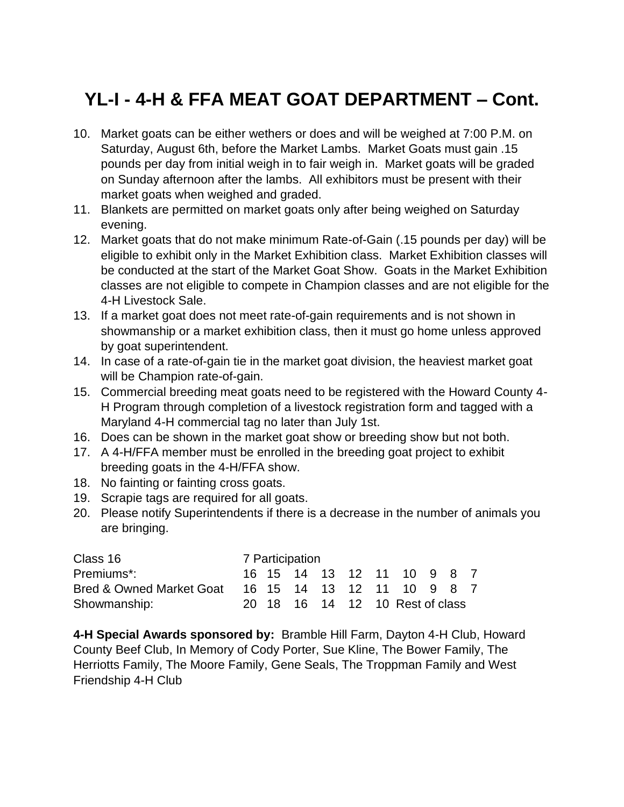### **YL-I - 4-H & FFA MEAT GOAT DEPARTMENT – Cont.**

- 10. Market goats can be either wethers or does and will be weighed at 7:00 P.M. on Saturday, August 6th, before the Market Lambs. Market Goats must gain .15 pounds per day from initial weigh in to fair weigh in. Market goats will be graded on Sunday afternoon after the lambs. All exhibitors must be present with their market goats when weighed and graded.
- 11. Blankets are permitted on market goats only after being weighed on Saturday evening.
- 12. Market goats that do not make minimum Rate-of-Gain (.15 pounds per day) will be eligible to exhibit only in the Market Exhibition class. Market Exhibition classes will be conducted at the start of the Market Goat Show. Goats in the Market Exhibition classes are not eligible to compete in Champion classes and are not eligible for the 4-H Livestock Sale.
- 13. If a market goat does not meet rate-of-gain requirements and is not shown in showmanship or a market exhibition class, then it must go home unless approved by goat superintendent.
- 14. In case of a rate-of-gain tie in the market goat division, the heaviest market goat will be Champion rate-of-gain.
- 15. Commercial breeding meat goats need to be registered with the Howard County 4- H Program through completion of a livestock registration form and tagged with a Maryland 4-H commercial tag no later than July 1st.
- 16. Does can be shown in the market goat show or breeding show but not both.
- 17. A 4-H/FFA member must be enrolled in the breeding goat project to exhibit breeding goats in the 4-H/FFA show.
- 18. No fainting or fainting cross goats.
- 19. Scrapie tags are required for all goats.
- 20. Please notify Superintendents if there is a decrease in the number of animals you are bringing.

| Class 16                 | 7 Participation |  |  |  |  |  |                                 |  |  |  |
|--------------------------|-----------------|--|--|--|--|--|---------------------------------|--|--|--|
| Premiums*:               |                 |  |  |  |  |  | 16 15 14 13 12 11 10 9 8 7      |  |  |  |
| Bred & Owned Market Goat |                 |  |  |  |  |  | 16 15 14 13 12 11 10 9 8 7      |  |  |  |
| Showmanship:             |                 |  |  |  |  |  | 20 18 16 14 12 10 Rest of class |  |  |  |

**4-H Special Awards sponsored by:** Bramble Hill Farm, Dayton 4-H Club, Howard County Beef Club, In Memory of Cody Porter, Sue Kline, The Bower Family, The Herriotts Family, The Moore Family, Gene Seals, The Troppman Family and West Friendship 4-H Club